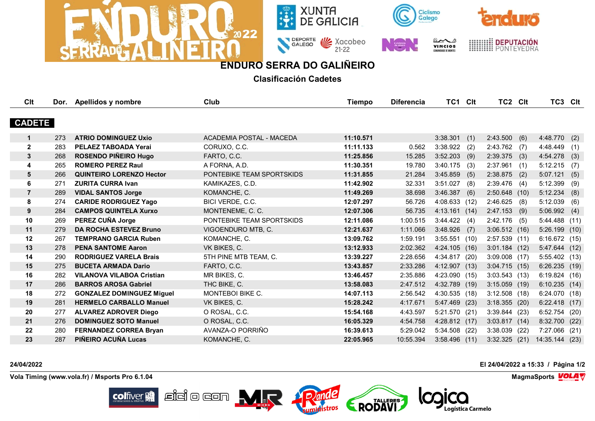



SALEGO VE Xacobeo









## **ENDURO SERRA DO GALIÑEIRO**

**Clasificación Cadetes**

| Clt            |     | Dor. Apellidos y nombre          | Club                            | <b>Tiempo</b> | <b>Diferencia</b> | TC1 Clt         |      | TC2 Clt         |      | TC3 Clt         |      |
|----------------|-----|----------------------------------|---------------------------------|---------------|-------------------|-----------------|------|-----------------|------|-----------------|------|
|                |     |                                  |                                 |               |                   |                 |      |                 |      |                 |      |
| <b>CADETE</b>  |     |                                  |                                 |               |                   |                 |      |                 |      |                 |      |
| $\mathbf 1$    | 273 | <b>ATRIO DOMINGUEZ Uxio</b>      | <b>ACADEMIA POSTAL - MACEDA</b> | 11:10.571     |                   | 3:38.301        | (1)  | 2:43.500(6)     |      | 4:48.770        | (2)  |
| $\overline{2}$ | 283 | PELAEZ TABOADA Yerai             | CORUXO, C.C.                    | 11:11.133     | 0.562             | 3:38.922        | (2)  | 2:43.762        | (7)  | 4:48.449        | (1)  |
| $\mathbf{3}$   | 268 | <b>ROSENDO PIÑEIRO Hugo</b>      | FARTO, C.C.                     | 11:25.856     | 15.285            | 3:52.203        | (9)  | 2:39.375        | (3)  | 4:54.278        | (3)  |
| 4              | 265 | <b>ROMERO PEREZ Raul</b>         | A FORNA, A.D.                   | 11:30.351     | 19.780            | 3:40.175        | (3)  | 2:37.961        | (1)  | 5:12.215        | (7)  |
| 5              | 266 | <b>QUINTEIRO LORENZO Hector</b>  | PONTEBIKE TEAM SPORTSKIDS       | 11:31.855     | 21.284            | 3:45.859        | (5)  | 2:38.875        | (2)  | 5:07.121        | (5)  |
| 6              | 271 | <b>ZURITA CURRA Ivan</b>         | KAMIKAZES, C.D.                 | 11:42.902     | 32.331            | 3:51.027        | (8)  | 2:39.476        | (4)  | 5:12.399        | (9)  |
| $\overline{7}$ | 289 | <b>VIDAL SANTOS Jorge</b>        | KOMANCHE, C.                    | 11:49.269     | 38.698            | 3:46.387        | (6)  | 2:50.648 (10)   |      | 5:12.234        | (8)  |
| 8              | 274 | <b>CARIDE RODRIGUEZ Yago</b>     | BICI VERDE, C.C.                | 12:07.297     | 56.726            | 4:08.633 (12)   |      | 2:46.625        | (8)  | 5:12.039        | (6)  |
| 9              | 284 | <b>CAMPOS QUINTELA Xurxo</b>     | MONTENEME, C. C.                | 12:07.306     | 56.735            | 4:13.161        | (14) | 2:47.153        | (9)  | 5:06.992        | (4)  |
| 10             | 269 | PEREZ CUÑA Jorge                 | PONTEBIKE TEAM SPORTSKIDS       | 12:11.086     | 1:00.515          | 3:44.422        | (4)  | $2:42.176$ (5)  |      | 5:44.488(11)    |      |
| 11             | 279 | <b>DA ROCHA ESTEVEZ Bruno</b>    | VIGOENDURO MTB, C.              | 12:21.637     | 1:11.066          | 3:48.926        | (7)  | 3:06.512(16)    |      | 5:26.199(10)    |      |
| 12             | 267 | <b>TEMPRANO GARCIA Ruben</b>     | KOMANCHE, C.                    | 13:09.762     | 1:59.191          | 3:55.551        | (10) | $2:57.539$ (11) |      | 6:16.672(15)    |      |
| 13             | 278 | <b>PENA SANTOME Aaron</b>        | VK BIKES, C.                    | 13:12.933     | 2:02.362          | 4:24.105 (16)   |      | $3:01.184$ (12) |      | 5:47.644        | (12) |
| 14             | 290 | <b>RODRIGUEZ VARELA Brais</b>    | 5TH PINE MTB TEAM, C.           | 13:39.227     | 2:28.656          | 4:34.817 (20)   |      | $3:09.008$ (17) |      | 5:55.402(13)    |      |
| 15             | 275 | <b>BUCETA ARMADA Dario</b>       | FARTO, C.C.                     | 13:43.857     | 2:33.286          | 4:12.907 (13)   |      | 3:04.715(15)    |      | 6:26.235(19)    |      |
| 16             | 282 | <b>VILANOVA VILABOA Cristian</b> | MR BIKES, C.                    | 13:46.457     | 2:35.886          | 4:23.090 (15)   |      | $3:03.543$ (13) |      | 6:19.824(16)    |      |
| 17             | 286 | <b>BARROS AROSA Gabriel</b>      | THC BIKE, C.                    | 13:58.083     | 2:47.512          | 4:32.789 (19)   |      | $3:15.059$ (19) |      | 6:10.235(14)    |      |
| 18             | 272 | <b>GONZALEZ DOMINGUEZ Miguel</b> | MONTEBOI BIKE C.                | 14:07.113     | 2:56.542          | 4:30.535(18)    |      | $3:12.508$ (18) |      | 6:24.070 (18)   |      |
| 19             | 281 | <b>HERMELO CARBALLO Manuel</b>   | VK BIKES, C.                    | 15:28.242     | 4:17.671          | 5:47.469 (23)   |      | $3:18.355$ (20) |      | 6:22.418(17)    |      |
| 20             | 277 | <b>ALVAREZ ADROVER Diego</b>     | O ROSAL, C.C.                   | 15:54.168     | 4:43.597          | 5:21.570 (21)   |      | 3:39.844(23)    |      | $6:52.754$ (20) |      |
| 21             | 276 | <b>DOMINGUEZ SOTO Manuel</b>     | O ROSAL, C.C.                   | 16:05.329     | 4:54.758          | 4:28.812 (17)   |      | $3:03.817$ (14) |      | 8:32.700 (22)   |      |
| 22             | 280 | <b>FERNANDEZ CORREA Bryan</b>    | AVANZA-O PORRIÑO                | 16:39.613     | 5:29.042          | 5:34.508 (22)   |      | $3:38.039$ (22) |      | 7:27.066 (21)   |      |
| 23             | 287 | PIÑEIRO ACUÑA Lucas              | KOMANCHE, C.                    | 22:05.965     | 10:55.394         | $3:58.496$ (11) |      | 3:32.325        | (21) | 14:35.144 (23)  |      |

Dande

RODAVI

 $\mathbb{E}$ idio con  $\mathbf{M}$ r

**Vola Timing (www.vola.fr) / Msports Pro 6.1.04 MagmaSports VOLA** 

**colfiver** 

**24/04/2022 El 24/04/2022 a 15:33 / Página 1/2**



Logística Carmelo